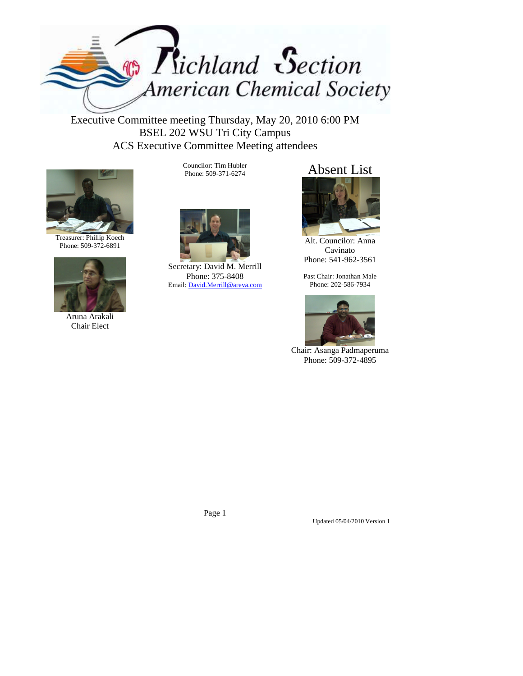

Executive Committee meeting Thursday, May 20, 2010 6:00 PM BSEL 202 WSU Tri City Campus ACS Executive Committee Meeting attendees



Treasurer: Phillip Koech Phone: 509-372-6891



Aruna Arakali Chair Elect

Councilor: Tim Hubler Phone: 509-371-6274



Secretary: David M. Merrill Phone: 375-8408 Email: David.Merrill@areva.com

## Absent List



Alt. Councilor: Anna Cavinato Phone: 541-962-3561

Past Chair: Jonathan Male Phone: 202-586-7934



Chair: Asanga Padmaperuma Phone: 509-372-4895

Page 1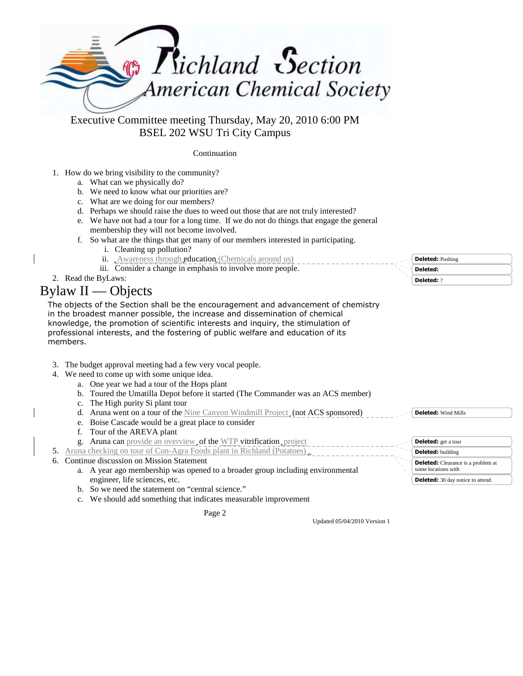

BSEL 202 WSU Tri City Campus

Continuation

#### 1. How do we bring visibility to the community?

- a. What can we physically do?
- b. We need to know what our priorities are?
- c. What are we doing for our members?
- d. Perhaps we should raise the dues to weed out those that are not truly interested?
- e. We have not had a tour for a long time. If we do not do things that engage the general membership they will not become involved.
- f. So what are the things that get many of our members interested in participating.
	- i. Cleaning up pollution?
	- ii. Awareness through **education** (Chemicals around us)
	- iii. Consider a change in emphasis to involve more people.
- 2. Read the ByLaws:

# Bylaw II — Objects

The objects of the Section shall be the encouragement and advancement of chemistry in the broadest manner possible, the increase and dissemination of chemical knowledge, the promotion of scientific interests and inquiry, the stimulation of professional interests, and the fostering of public welfare and education of its members.

- 3. The budget approval meeting had a few very vocal people.
- 4. We need to come up with some unique idea.
	- a. One year we had a tour of the Hops plant
	- b. Toured the Umatilla Depot before it started (The Commander was an ACS member)
	- c. The High purity Si plant tour
	- d. Aruna went on a tour of the Nine Canyon Windmill Project<sub>s</sub> (not ACS sponsored)
	- e. Boise Cascade would be a great place to consider
	- f. Tour of the AREVA plant
	- g. Aruna can provide an overview, of the WTP vitrification, project
- 5. Aruna checking on tour of Con-Agra Foods plant in Richland (Potatoes)
- 6. Continue discussion on Mission Statement
	- a. A year ago membership was opened to a broader group including environmental engineer, life sciences, etc.
	- b. So we need the statement on "central science."
	- c. We should add something that indicates measurable improvement

Page 2

**Deleted:** Pushing **Deleted: Deleted:** ?

**Deleted:** Wind Mills

| <b>Deleted:</b> get a tour                                       |
|------------------------------------------------------------------|
| <b>Deleted:</b> building                                         |
| <b>Deleted:</b> Clearance is a problem at<br>some locations with |
| <b>Deleted:</b> 30 day notice to attend.                         |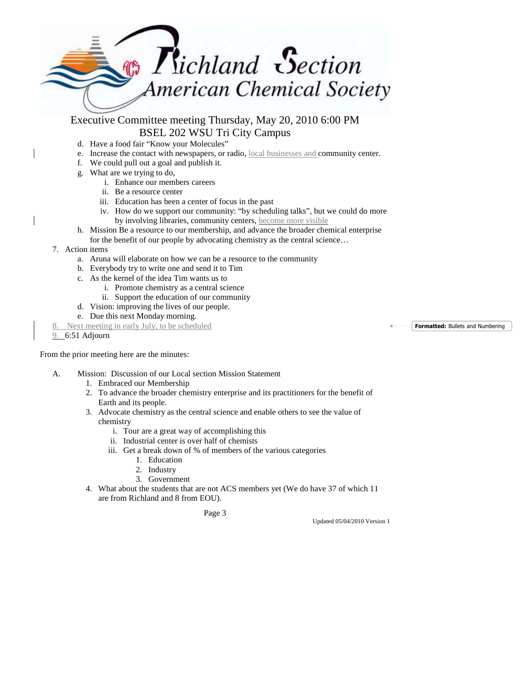

- d. Have a food fair "Know your Molecules"
- e. Increase the contact with newspapers, or radio, local businesses and community center.
- f. We could pull out a goal and publish it.
- g. What are we trying to do,
	- i. Enhance our members careers
	- ii. Be a resource center
	- iii. Education has been a center of focus in the past
	- iv. How do we support our community: "by scheduling talks", but we could do more by involving libraries, community centers, become more visible
- h. Mission Be a resource to our membership, and advance the broader chemical enterprise
- for the benefit of our people by advocating chemistry as the central science…
- 7. Action items
	- a. Aruna will elaborate on how we can be a resource to the community
	- b. Everybody try to write one and send it to Tim
	- c. As the kernel of the idea Tim wants us to
		- i. Promote chemistry as a central science
		- ii. Support the education of our community
	- d. Vision: improving the lives of our people.
	- e. Due this next Monday morning.
- Next meeting in early July, to be scheduled
- 9. 6:51 Adjourn

From the prior meeting here are the minutes:

- A. Mission: Discussion of our Local section Mission Statement
	- 1. Embraced our Membership
	- 2. To advance the broader chemistry enterprise and its practitioners for the benefit of Earth and its people.
	- 3. Advocate chemistry as the central science and enable others to see the value of chemistry
		- i. Tour are a great way of accomplishing this
		- ii. Industrial center is over half of chemists
		- iii. Get a break down of % of members of the various categories
			- 1. Education
			- 2. Industry
			- 3. Government
	- 4. What about the students that are not ACS members yet (We do have 37 of which 11 are from Richland and 8 from EOU).

Page 3

Updated 05/04/2010 Version 1

**Formatted:** Bullets and Numbering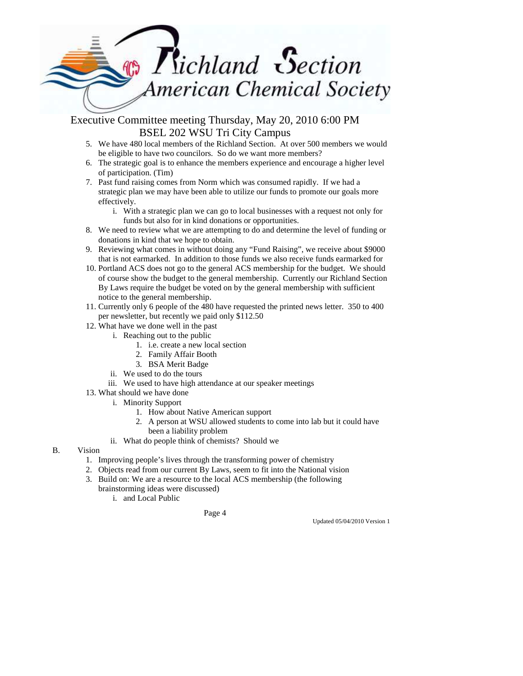

- 5. We have 480 local members of the Richland Section. At over 500 members we would be eligible to have two councilors. So do we want more members?
- 6. The strategic goal is to enhance the members experience and encourage a higher level of participation. (Tim)
- 7. Past fund raising comes from Norm which was consumed rapidly. If we had a strategic plan we may have been able to utilize our funds to promote our goals more effectively.
	- i. With a strategic plan we can go to local businesses with a request not only for funds but also for in kind donations or opportunities.
- 8. We need to review what we are attempting to do and determine the level of funding or donations in kind that we hope to obtain.
- 9. Reviewing what comes in without doing any "Fund Raising", we receive about \$9000 that is not earmarked. In addition to those funds we also receive funds earmarked for
- 10. Portland ACS does not go to the general ACS membership for the budget. We should of course show the budget to the general membership. Currently our Richland Section By Laws require the budget be voted on by the general membership with sufficient notice to the general membership.
- 11. Currently only 6 people of the 480 have requested the printed news letter. 350 to 400 per newsletter, but recently we paid only \$112.50
- 12. What have we done well in the past
	- i. Reaching out to the public
		- 1. i.e. create a new local section
		- 2. Family Affair Booth
		- 3. BSA Merit Badge
	- ii. We used to do the tours
	- iii. We used to have high attendance at our speaker meetings
- 13. What should we have done
	- i. Minority Support
		- 1. How about Native American support
		- 2. A person at WSU allowed students to come into lab but it could have been a liability problem
		- ii. What do people think of chemists? Should we
- B. Vision
	- 1. Improving people's lives through the transforming power of chemistry
	- 2. Objects read from our current By Laws, seem to fit into the National vision
	- 3. Build on: We are a resource to the local ACS membership (the following brainstorming ideas were discussed)
		- i. and Local Public

Page 4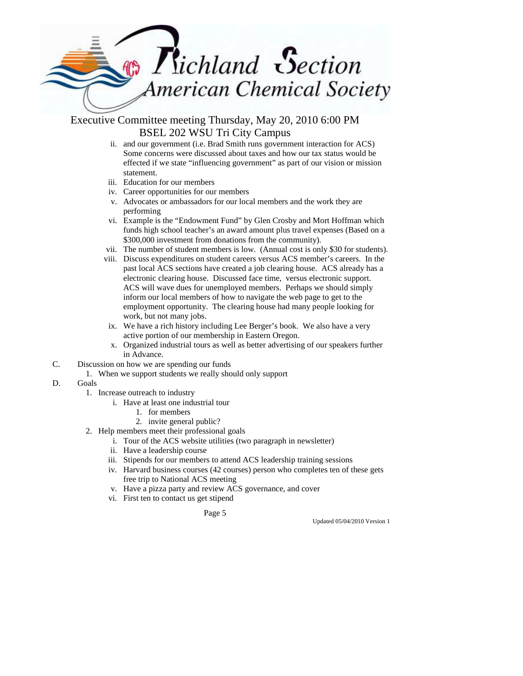

- ii. and our government (i.e. Brad Smith runs government interaction for ACS) Some concerns were discussed about taxes and how our tax status would be effected if we state "influencing government" as part of our vision or mission statement.
- iii. Education for our members
- iv. Career opportunities for our members
- v. Advocates or ambassadors for our local members and the work they are performing
- vi. Example is the "Endowment Fund" by Glen Crosby and Mort Hoffman which funds high school teacher's an award amount plus travel expenses (Based on a \$300,000 investment from donations from the community).
- vii. The number of student members is low. (Annual cost is only \$30 for students).
- viii. Discuss expenditures on student careers versus ACS member's careers. In the past local ACS sections have created a job clearing house. ACS already has a electronic clearing house. Discussed face time, versus electronic support. ACS will wave dues for unemployed members. Perhaps we should simply inform our local members of how to navigate the web page to get to the employment opportunity. The clearing house had many people looking for work, but not many jobs.
- ix. We have a rich history including Lee Berger's book. We also have a very active portion of our membership in Eastern Oregon.
- x. Organized industrial tours as well as better advertising of our speakers further in Advance.
- C. Discussion on how we are spending our funds
	- 1. When we support students we really should only support
- D. Goals
	- 1. Increase outreach to industry
		- i. Have at least one industrial tour
			- 1. for members
			- 2. invite general public?
	- 2. Help members meet their professional goals
		- i. Tour of the ACS website utilities (two paragraph in newsletter)
		- ii. Have a leadership course
		- iii. Stipends for our members to attend ACS leadership training sessions
		- iv. Harvard business courses (42 courses) person who completes ten of these gets free trip to National ACS meeting
		- v. Have a pizza party and review ACS governance, and cover
		- vi. First ten to contact us get stipend

Page 5